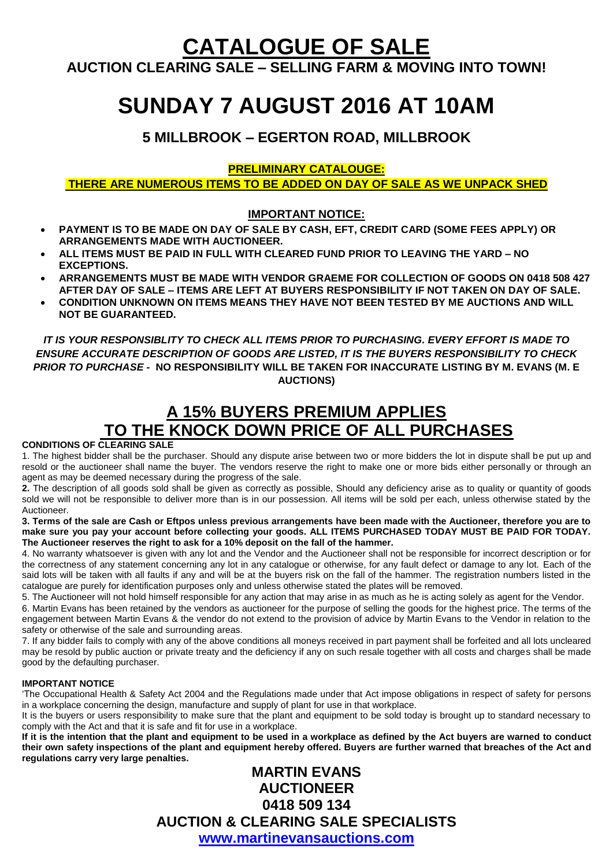# **CATALOGUE OF SALE**

**AUCTION CLEARING SALE – SELLING FARM & MOVING INTO TOWN!**

# **SUNDAY 7 AUGUST 2016 AT 10AM**

**5 MILLBROOK – EGERTON ROAD, MILLBROOK**

#### **PRELIMINARY CATALOUGE:**

**THERE ARE NUMEROUS ITEMS TO BE ADDED ON DAY OF SALE AS WE UNPACK SHED**

#### **IMPORTANT NOTICE:**

- **PAYMENT IS TO BE MADE ON DAY OF SALE BY CASH, EFT, CREDIT CARD (SOME FEES APPLY) OR ARRANGEMENTS MADE WITH AUCTIONEER.**
- **ALL ITEMS MUST BE PAID IN FULL WITH CLEARED FUND PRIOR TO LEAVING THE YARD – NO EXCEPTIONS.**
- **ARRANGEMENTS MUST BE MADE WITH VENDOR GRAEME FOR COLLECTION OF GOODS ON 0418 508 427 AFTER DAY OF SALE – ITEMS ARE LEFT AT BUYERS RESPONSIBILITY IF NOT TAKEN ON DAY OF SALE.**
- **CONDITION UNKNOWN ON ITEMS MEANS THEY HAVE NOT BEEN TESTED BY ME AUCTIONS AND WILL NOT BE GUARANTEED.**

*IT IS YOUR RESPONSIBLITY TO CHECK ALL ITEMS PRIOR TO PURCHASING. EVERY EFFORT IS MADE TO ENSURE ACCURATE DESCRIPTION OF GOODS ARE LISTED, IT IS THE BUYERS RESPONSIBILITY TO CHECK PRIOR TO PURCHASE -* **NO RESPONSIBILITY WILL BE TAKEN FOR INACCURATE LISTING BY M. EVANS (M. E AUCTIONS)**

# **A 15% BUYERS PREMIUM APPLIES TO THE KNOCK DOWN PRICE OF ALL PURCHASES**

**CONDITIONS OF CLEARING SALE** 

1. The highest bidder shall be the purchaser. Should any dispute arise between two or more bidders the lot in dispute shall be put up and resold or the auctioneer shall name the buyer. The vendors reserve the right to make one or more bids either personally or through an agent as may be deemed necessary during the progress of the sale.

**2.** The description of all goods sold shall be given as correctly as possible, Should any deficiency arise as to quality or quantity of goods sold we will not be responsible to deliver more than is in our possession. All items will be sold per each, unless otherwise stated by the Auctioneer.

**3. Terms of the sale are Cash or Eftpos unless previous arrangements have been made with the Auctioneer, therefore you are to make sure you pay your account before collecting your goods. ALL ITEMS PURCHASED TODAY MUST BE PAID FOR TODAY. The Auctioneer reserves the right to ask for a 10% deposit on the fall of the hammer.** 

4. No warranty whatsoever is given with any lot and the Vendor and the Auctioneer shall not be responsible for incorrect description or for the correctness of any statement concerning any lot in any catalogue or otherwise, for any fault defect or damage to any lot. Each of the said lots will be taken with all faults if any and will be at the buyers risk on the fall of the hammer. The registration numbers listed in the catalogue are purely for identification purposes only and unless otherwise stated the plates will be removed.

5. The Auctioneer will not hold himself responsible for any action that may arise in as much as he is acting solely as agent for the Vendor.

6. Martin Evans has been retained by the vendors as auctioneer for the purpose of selling the goods for the highest price. The terms of the engagement between Martin Evans & the vendor do not extend to the provision of advice by Martin Evans to the Vendor in relation to the safety or otherwise of the sale and surrounding areas.

7. If any bidder fails to comply with any of the above conditions all moneys received in part payment shall be forfeited and all lots uncleared may be resold by public auction or private treaty and the deficiency if any on such resale together with all costs and charges shall be made good by the defaulting purchaser.

#### **IMPORTANT NOTICE**

'The Occupational Health & Safety Act 2004 and the Regulations made under that Act impose obligations in respect of safety for persons in a workplace concerning the design, manufacture and supply of plant for use in that workplace.

It is the buyers or users responsibility to make sure that the plant and equipment to be sold today is brought up to standard necessary to comply with the Act and that it is safe and fit for use in a workplace.

**If it is the intention that the plant and equipment to be used in a workplace as defined by the Act buyers are warned to conduct their own safety inspections of the plant and equipment hereby offered. Buyers are further warned that breaches of the Act and regulations carry very large penalties.** 

## **MARTIN EVANS AUCTIONEER 0418 509 134 AUCTION & CLEARING SALE SPECIALISTS [www.martinevansauctions.com](http://www.martinevansauctions.com/)**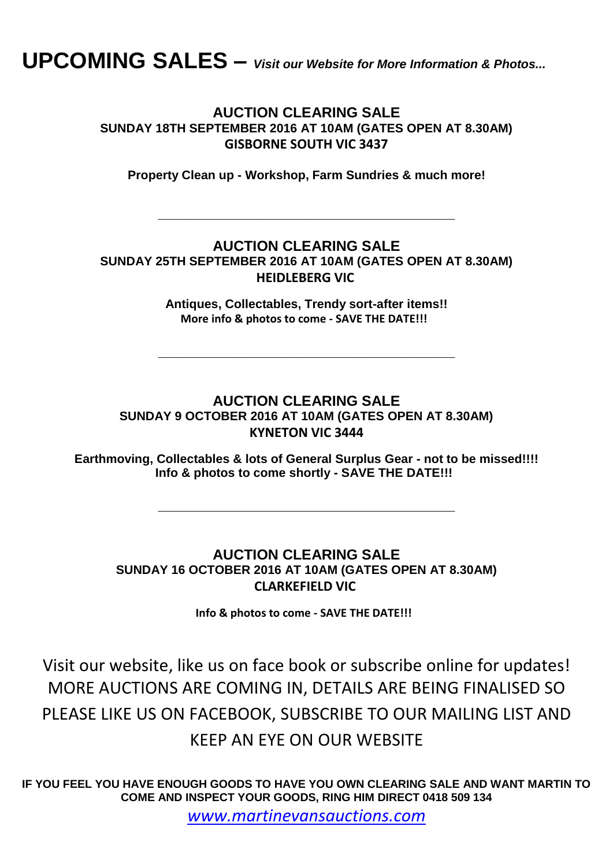**UPCOMING SALES –** *Visit our Website for More Information & Photos...*

#### **AUCTION CLEARING SALE SUNDAY 18TH SEPTEMBER 2016 AT 10AM (GATES OPEN AT 8.30AM) GISBORNE SOUTH VIC 3437**

**Property Clean up - Workshop, Farm Sundries & much more!**

**\_\_\_\_\_\_\_\_\_\_\_\_\_\_\_\_\_\_\_\_\_\_\_\_\_\_\_\_\_\_\_\_\_\_\_\_\_**

### **AUCTION CLEARING SALE SUNDAY 25TH SEPTEMBER 2016 AT 10AM (GATES OPEN AT 8.30AM) HEIDLEBERG VIC**

**Antiques, Collectables, Trendy sort-after items!! More info & photos to come - SAVE THE DATE!!!**

**\_\_\_\_\_\_\_\_\_\_\_\_\_\_\_\_\_\_\_\_\_\_\_\_\_\_\_\_\_\_\_\_\_\_\_\_\_**

## **AUCTION CLEARING SALE SUNDAY 9 OCTOBER 2016 AT 10AM (GATES OPEN AT 8.30AM) KYNETON VIC 3444**

**Earthmoving, Collectables & lots of General Surplus Gear - not to be missed!!!! Info & photos to come shortly - SAVE THE DATE!!!**

**\_\_\_\_\_\_\_\_\_\_\_\_\_\_\_\_\_\_\_\_\_\_\_\_\_\_\_\_\_\_\_\_\_\_\_\_\_**

### **AUCTION CLEARING SALE SUNDAY 16 OCTOBER 2016 AT 10AM (GATES OPEN AT 8.30AM) CLARKEFIELD VIC**

**Info & photos to come - SAVE THE DATE!!!** 

Visit our website, like us on face book or subscribe online for updates! MORE AUCTIONS ARE COMING IN, DETAILS ARE BEING FINALISED SO PLEASE LIKE US ON FACEBOOK, SUBSCRIBE TO OUR MAILING LIST AND KEEP AN EYE ON OUR WEBSITE

**IF YOU FEEL YOU HAVE ENOUGH GOODS TO HAVE YOU OWN CLEARING SALE AND WANT MARTIN TO COME AND INSPECT YOUR GOODS, RING HIM DIRECT 0418 509 134**

*[www.martinevansauctions.com](http://www.martinevansauctions.com/)*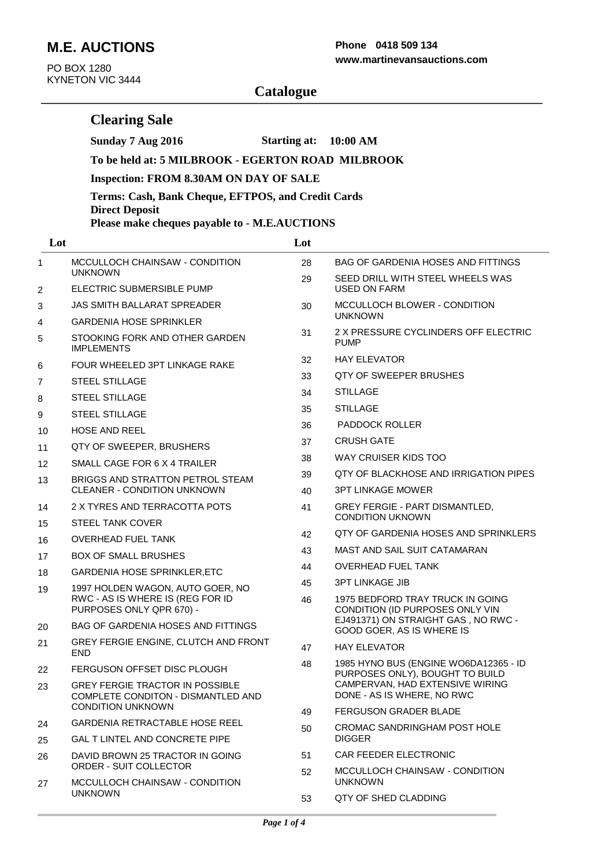# **M.E. AUCTIONS**

**Clearing Sale**

PO BOX 1280 KYNETON VIC 3444

#### **www.martinevansauctions.com Phone 0418 509 134**

**Sunday 7 Aug 2016 Starting at: 10:00 AM**

|                | To be held at: 5 MILBROOK - EGERTON ROAD MILBROOK                                                        |                                               |                                                                                               |  |  |  |  |
|----------------|----------------------------------------------------------------------------------------------------------|-----------------------------------------------|-----------------------------------------------------------------------------------------------|--|--|--|--|
|                | <b>Inspection: FROM 8.30AM ON DAY OF SALE</b>                                                            |                                               |                                                                                               |  |  |  |  |
|                | Terms: Cash, Bank Cheque, EFTPOS, and Credit Cards<br><b>Direct Deposit</b>                              |                                               |                                                                                               |  |  |  |  |
|                |                                                                                                          | Please make cheques payable to - M.E.AUCTIONS |                                                                                               |  |  |  |  |
| Lot            |                                                                                                          | Lot                                           |                                                                                               |  |  |  |  |
| 1              | MCCULLOCH CHAINSAW - CONDITION<br><b>UNKNOWN</b>                                                         | 28                                            | <b>BAG OF GARDENIA HOSES AND FITTINGS</b>                                                     |  |  |  |  |
| 2              | ELECTRIC SUBMERSIBLE PUMP                                                                                | 29                                            | SEED DRILL WITH STEEL WHEELS WAS<br><b>USED ON FARM</b>                                       |  |  |  |  |
| 3              | <b>JAS SMITH BALLARAT SPREADER</b>                                                                       | 30                                            | MCCULLOCH BLOWER - CONDITION                                                                  |  |  |  |  |
| 4              | <b>GARDENIA HOSE SPRINKLER</b>                                                                           |                                               | <b>UNKNOWN</b>                                                                                |  |  |  |  |
| 5              | STOOKING FORK AND OTHER GARDEN<br><b>IMPLEMENTS</b>                                                      | 31                                            | 2 X PRESSURE CYCLINDERS OFF ELECTRIC<br><b>PUMP</b>                                           |  |  |  |  |
| 6              | FOUR WHEELED 3PT LINKAGE RAKE                                                                            | 32                                            | <b>HAY ELEVATOR</b>                                                                           |  |  |  |  |
| $\overline{7}$ | <b>STEEL STILLAGE</b>                                                                                    | 33                                            | QTY OF SWEEPER BRUSHES                                                                        |  |  |  |  |
| 8              | STEEL STILLAGE                                                                                           | 34                                            | <b>STILLAGE</b>                                                                               |  |  |  |  |
| 9              | <b>STEEL STILLAGE</b>                                                                                    | 35                                            | <b>STILLAGE</b>                                                                               |  |  |  |  |
| 10             | <b>HOSE AND REEL</b>                                                                                     | 36                                            | PADDOCK ROLLER                                                                                |  |  |  |  |
| 11             | QTY OF SWEEPER, BRUSHERS                                                                                 | 37                                            | <b>CRUSH GATE</b>                                                                             |  |  |  |  |
| 12             | SMALL CAGE FOR 6 X 4 TRAILER                                                                             | 38                                            | WAY CRUISER KIDS TOO                                                                          |  |  |  |  |
| 13             | BRIGGS AND STRATTON PETROL STEAM                                                                         | 39                                            | QTY OF BLACKHOSE AND IRRIGATION PIPES                                                         |  |  |  |  |
|                | <b>CLEANER - CONDITION UNKNOWN</b>                                                                       | 40                                            | <b>3PT LINKAGE MOWER</b>                                                                      |  |  |  |  |
| 14             | 2 X TYRES AND TERRACOTTA POTS                                                                            | 41                                            | GREY FERGIE - PART DISMANTLED,<br><b>CONDITION UKNOWN</b>                                     |  |  |  |  |
| 15             | <b>STEEL TANK COVER</b>                                                                                  | 42                                            | QTY OF GARDENIA HOSES AND SPRINKLERS                                                          |  |  |  |  |
| 16             | <b>OVERHEAD FUEL TANK</b>                                                                                |                                               | MAST AND SAIL SUIT CATAMARAN                                                                  |  |  |  |  |
| 17             | <b>BOX OF SMALL BRUSHES</b>                                                                              | 43                                            |                                                                                               |  |  |  |  |
| 18             | <b>GARDENIA HOSE SPRINKLER, ETC</b>                                                                      | 44                                            | <b>OVERHEAD FUEL TANK</b>                                                                     |  |  |  |  |
| 19             | 1997 HOLDEN WAGON, AUTO GOER, NO<br>RWC - AS IS WHERE IS (REG FOR ID<br>PURPOSES ONLY QPR 670) -         | 45<br>46                                      | <b>3PT LINKAGE JIB</b><br>1975 BEDFORD TRAY TRUCK IN GOING<br>CONDITION (ID PURPOSES ONLY VIN |  |  |  |  |
| 20             | <b>BAG OF GARDENIA HOSES AND FITTINGS</b>                                                                |                                               | EJ491371) ON STRAIGHT GAS, NO RWC -                                                           |  |  |  |  |
| 21             | GREY FERGIE ENGINE, CLUTCH AND FRONT                                                                     | 47                                            | GOOD GOER, AS IS WHERE IS<br><b>HAY ELEVATOR</b>                                              |  |  |  |  |
|                | <b>END</b><br>FERGUSON OFFSET DISC PLOUGH                                                                | 48                                            | 1985 HYNO BUS (ENGINE WO6DA12365 - ID                                                         |  |  |  |  |
| 22             |                                                                                                          |                                               | PURPOSES ONLY), BOUGHT TO BUILD<br>CAMPERVAN, HAD EXTENSIVE WIRING                            |  |  |  |  |
| 23             | <b>GREY FERGIE TRACTOR IN POSSIBLE</b><br>COMPLETE CONDITON - DISMANTLED AND<br><b>CONDITION UNKNOWN</b> |                                               | DONE - AS IS WHERE, NO RWC                                                                    |  |  |  |  |
| 24             | GARDENIA RETRACTABLE HOSE REEL                                                                           | 49                                            | FERGUSON GRADER BLADE                                                                         |  |  |  |  |
| 25             | <b>GAL T LINTEL AND CONCRETE PIPE</b>                                                                    | 50                                            | CROMAC SANDRINGHAM POST HOLE<br><b>DIGGER</b>                                                 |  |  |  |  |
| 26             | DAVID BROWN 25 TRACTOR IN GOING                                                                          | 51                                            | CAR FEEDER ELECTRONIC                                                                         |  |  |  |  |
| 27             | <b>ORDER - SUIT COLLECTOR</b><br>MCCULLOCH CHAINSAW - CONDITION<br><b>UNKNOWN</b>                        | 52                                            | MCCULLOCH CHAINSAW - CONDITION                                                                |  |  |  |  |
|                |                                                                                                          |                                               | <b>UNKNOWN</b>                                                                                |  |  |  |  |
|                |                                                                                                          | 53                                            | <b>QTY OF SHED CLADDING</b>                                                                   |  |  |  |  |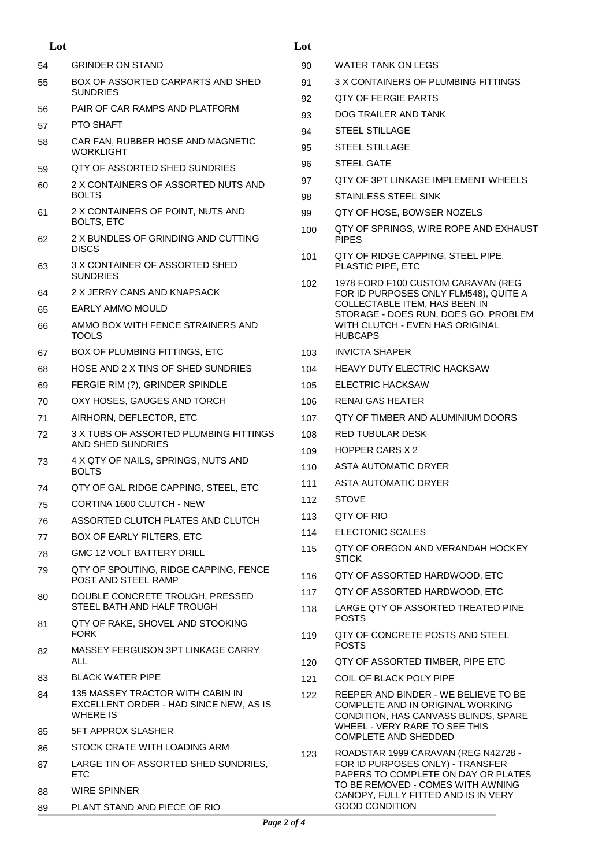| Lot |                                                                                               | Lot |                                                                                                                                                                              |
|-----|-----------------------------------------------------------------------------------------------|-----|------------------------------------------------------------------------------------------------------------------------------------------------------------------------------|
| 54  | <b>GRINDER ON STAND</b>                                                                       | 90  | WATER TANK ON LEGS                                                                                                                                                           |
| 55  | <b>BOX OF ASSORTED CARPARTS AND SHED</b>                                                      | 91  | 3 X CONTAINERS OF PLUMBING FITTINGS                                                                                                                                          |
|     | <b>SUNDRIES</b>                                                                               | 92  | <b>OTY OF FERGIE PARTS</b>                                                                                                                                                   |
| 56  | PAIR OF CAR RAMPS AND PLATFORM                                                                | 93  | DOG TRAILER AND TANK                                                                                                                                                         |
| 57  | PTO SHAFT                                                                                     | 94  | <b>STEEL STILLAGE</b>                                                                                                                                                        |
| 58  | CAR FAN, RUBBER HOSE AND MAGNETIC<br><b>WORKLIGHT</b>                                         | 95  | <b>STEEL STILLAGE</b>                                                                                                                                                        |
| 59  | QTY OF ASSORTED SHED SUNDRIES                                                                 | 96  | <b>STEEL GATE</b>                                                                                                                                                            |
| 60  | 2 X CONTAINERS OF ASSORTED NUTS AND<br><b>BOLTS</b>                                           | 97  | OTY OF 3PT LINKAGE IMPLEMENT WHEELS                                                                                                                                          |
|     |                                                                                               | 98  | <b>STAINLESS STEEL SINK</b>                                                                                                                                                  |
| 61  | 2 X CONTAINERS OF POINT, NUTS AND<br><b>BOLTS, ETC</b>                                        | 99  | QTY OF HOSE, BOWSER NOZELS                                                                                                                                                   |
| 62  | 2 X BUNDLES OF GRINDING AND CUTTING<br><b>DISCS</b>                                           | 100 | QTY OF SPRINGS, WIRE ROPE AND EXHAUST<br><b>PIPES</b>                                                                                                                        |
| 63  | 3 X CONTAINER OF ASSORTED SHED<br><b>SUNDRIES</b>                                             | 101 | QTY OF RIDGE CAPPING, STEEL PIPE,<br>PLASTIC PIPE, ETC                                                                                                                       |
| 64  | 2 X JERRY CANS AND KNAPSACK                                                                   | 102 | 1978 FORD F100 CUSTOM CARAVAN (REG<br>FOR ID PURPOSES ONLY FLM548), QUITE A                                                                                                  |
| 65  | EARLY AMMO MOULD                                                                              |     | COLLECTABLE ITEM, HAS BEEN IN<br>STORAGE - DOES RUN, DOES GO, PROBLEM                                                                                                        |
| 66  | AMMO BOX WITH FENCE STRAINERS AND<br><b>TOOLS</b>                                             |     | WITH CLUTCH - EVEN HAS ORIGINAL<br><b>HUBCAPS</b>                                                                                                                            |
| 67  | BOX OF PLUMBING FITTINGS, ETC                                                                 | 103 | <b>INVICTA SHAPER</b>                                                                                                                                                        |
| 68  | HOSE AND 2 X TINS OF SHED SUNDRIES                                                            | 104 | <b>HEAVY DUTY ELECTRIC HACKSAW</b>                                                                                                                                           |
| 69  | FERGIE RIM (?), GRINDER SPINDLE                                                               | 105 | ELECTRIC HACKSAW                                                                                                                                                             |
| 70  | OXY HOSES, GAUGES AND TORCH                                                                   | 106 | RENAI GAS HEATER                                                                                                                                                             |
| 71  | AIRHORN, DEFLECTOR, ETC                                                                       | 107 | QTY OF TIMBER AND ALUMINIUM DOORS                                                                                                                                            |
| 72  | 3 X TUBS OF ASSORTED PLUMBING FITTINGS                                                        | 108 | <b>RED TUBULAR DESK</b>                                                                                                                                                      |
|     | AND SHED SUNDRIES<br>4 X QTY OF NAILS, SPRINGS, NUTS AND                                      | 109 | <b>HOPPER CARS X 2</b>                                                                                                                                                       |
| 73  | <b>BOLTS</b>                                                                                  | 110 | ASTA AUTOMATIC DRYER                                                                                                                                                         |
| 74  | QTY OF GAL RIDGE CAPPING, STEEL, ETC                                                          | 111 | ASTA AUTOMATIC DRYER                                                                                                                                                         |
| 75  | CORTINA 1600 CLUTCH - NEW                                                                     | 112 | <b>STOVE</b>                                                                                                                                                                 |
| 76  | ASSORTED CLUTCH PLATES AND CLUTCH                                                             | 113 | QTY OF RIO                                                                                                                                                                   |
| 77  | BOX OF EARLY FILTERS, ETC                                                                     | 114 | ELECTONIC SCALES                                                                                                                                                             |
| 78  | <b>GMC 12 VOLT BATTERY DRILL</b>                                                              | 115 | QTY OF OREGON AND VERANDAH HOCKEY<br><b>STICK</b>                                                                                                                            |
| 79  | QTY OF SPOUTING, RIDGE CAPPING, FENCE<br>POST AND STEEL RAMP                                  | 116 | QTY OF ASSORTED HARDWOOD, ETC                                                                                                                                                |
| 80  | DOUBLE CONCRETE TROUGH, PRESSED                                                               | 117 | QTY OF ASSORTED HARDWOOD, ETC                                                                                                                                                |
|     | STEEL BATH AND HALF TROUGH                                                                    | 118 | LARGE OTY OF ASSORTED TREATED PINE<br><b>POSTS</b>                                                                                                                           |
| 81  | QTY OF RAKE, SHOVEL AND STOOKING<br><b>FORK</b>                                               | 119 | QTY OF CONCRETE POSTS AND STEEL<br><b>POSTS</b>                                                                                                                              |
| 82  | MASSEY FERGUSON 3PT LINKAGE CARRY<br>ALL                                                      | 120 | QTY OF ASSORTED TIMBER, PIPE ETC                                                                                                                                             |
| 83  | <b>BLACK WATER PIPE</b>                                                                       | 121 | COIL OF BLACK POLY PIPE                                                                                                                                                      |
| 84  | 135 MASSEY TRACTOR WITH CABIN IN<br>EXCELLENT ORDER - HAD SINCE NEW, AS IS<br><b>WHERE IS</b> | 122 | REEPER AND BINDER - WE BELIEVE TO BE<br>COMPLETE AND IN ORIGINAL WORKING<br>CONDITION, HAS CANVASS BLINDS, SPARE<br>WHEEL - VERY RARE TO SEE THIS                            |
| 85  | <b>5FT APPROX SLASHER</b>                                                                     |     | <b>COMPLETE AND SHEDDED</b>                                                                                                                                                  |
| 86  | STOCK CRATE WITH LOADING ARM                                                                  | 123 | ROADSTAR 1999 CARAVAN (REG N42728 -                                                                                                                                          |
| 87  | LARGE TIN OF ASSORTED SHED SUNDRIES,<br>ETC                                                   |     | FOR ID PURPOSES ONLY) - TRANSFER<br>PAPERS TO COMPLETE ON DAY OR PLATES<br>TO BE REMOVED - COMES WITH AWNING<br>CANOPY, FULLY FITTED AND IS IN VERY<br><b>GOOD CONDITION</b> |
| 88  | <b>WIRE SPINNER</b>                                                                           |     |                                                                                                                                                                              |
| 89  | PLANT STAND AND PIECE OF RIO                                                                  |     |                                                                                                                                                                              |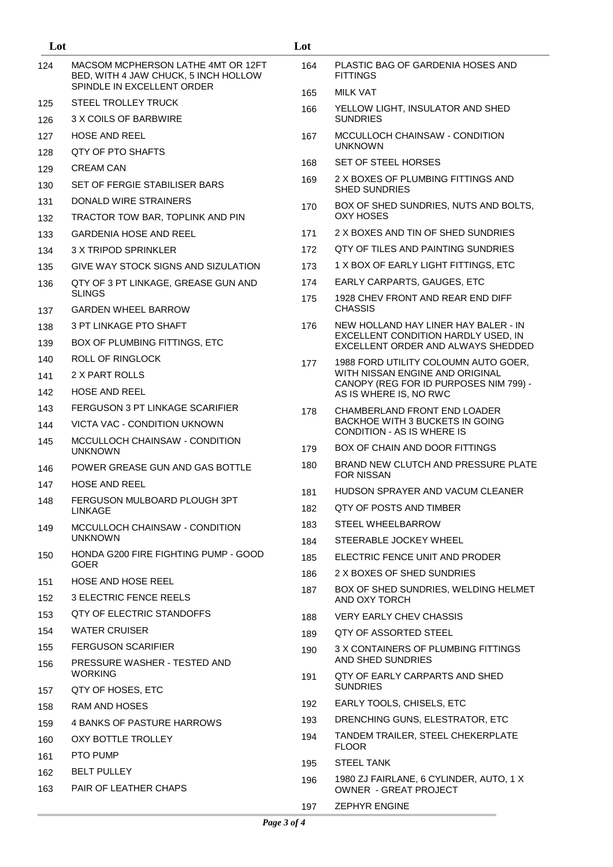| Lot        |                                                                            | Lot |                                                                           |
|------------|----------------------------------------------------------------------------|-----|---------------------------------------------------------------------------|
| 124        | MACSOM MCPHERSON LATHE 4MT OR 12FT<br>BED, WITH 4 JAW CHUCK, 5 INCH HOLLOW | 164 | PLASTIC BAG OF GARDENIA HOSES AND<br><b>FITTINGS</b>                      |
|            | SPINDLE IN EXCELLENT ORDER                                                 | 165 | <b>MILK VAT</b>                                                           |
| 125        | STEEL TROLLEY TRUCK                                                        | 166 | YELLOW LIGHT, INSULATOR AND SHED                                          |
| 126        | 3 X COILS OF BARBWIRE                                                      |     | <b>SUNDRIES</b>                                                           |
| 127        | <b>HOSE AND REEL</b>                                                       | 167 | MCCULLOCH CHAINSAW - CONDITION<br><b>UNKNOWN</b>                          |
| 128        | QTY OF PTO SHAFTS                                                          | 168 | SET OF STEEL HORSES                                                       |
| 129        | <b>CREAM CAN</b>                                                           | 169 | 2 X BOXES OF PLUMBING FITTINGS AND                                        |
| 130        | SET OF FERGIE STABILISER BARS<br>DONALD WIRE STRAINERS                     |     | <b>SHED SUNDRIES</b>                                                      |
| 131        |                                                                            | 170 | BOX OF SHED SUNDRIES, NUTS AND BOLTS,<br><b>OXY HOSES</b>                 |
| 132<br>133 | TRACTOR TOW BAR, TOPLINK AND PIN<br><b>GARDENIA HOSE AND REEL</b>          | 171 | 2 X BOXES AND TIN OF SHED SUNDRIES                                        |
| 134        | 3 X TRIPOD SPRINKLER                                                       | 172 | QTY OF TILES AND PAINTING SUNDRIES                                        |
|            | GIVE WAY STOCK SIGNS AND SIZULATION                                        | 173 | 1 X BOX OF EARLY LIGHT FITTINGS, ETC                                      |
| 135        |                                                                            | 174 | EARLY CARPARTS, GAUGES, ETC                                               |
| 136        | QTY OF 3 PT LINKAGE, GREASE GUN AND<br><b>SLINGS</b>                       | 175 | 1928 CHEV FRONT AND REAR END DIFF                                         |
| 137        | <b>GARDEN WHEEL BARROW</b>                                                 |     | <b>CHASSIS</b>                                                            |
| 138        | 3 PT LINKAGE PTO SHAFT                                                     | 176 | NEW HOLLAND HAY LINER HAY BALER - IN                                      |
| 139        | BOX OF PLUMBING FITTINGS, ETC                                              |     | EXCELLENT CONDITION HARDLY USED, IN<br>EXCELLENT ORDER AND ALWAYS SHEDDED |
| 140        | <b>ROLL OF RINGLOCK</b>                                                    | 177 | 1988 FORD UTILITY COLOUMN AUTO GOER,                                      |
| 141        | 2 X PART ROLLS                                                             |     | WITH NISSAN ENGINE AND ORIGINAL                                           |
| 142        | <b>HOSE AND REEL</b>                                                       |     | CANOPY (REG FOR ID PURPOSES NIM 799) -<br>AS IS WHERE IS, NO RWC          |
| 143        | FERGUSON 3 PT LINKAGE SCARIFIER                                            | 178 | CHAMBERLAND FRONT END LOADER                                              |
| 144        | VICTA VAC - CONDITION UKNOWN                                               |     | BACKHOE WITH 3 BUCKETS IN GOING<br><b>CONDITION - AS IS WHERE IS</b>      |
| 145        | MCCULLOCH CHAINSAW - CONDITION<br><b>UNKNOWN</b>                           | 179 | BOX OF CHAIN AND DOOR FITTINGS                                            |
| 146        | POWER GREASE GUN AND GAS BOTTLE                                            | 180 | <b>BRAND NEW CLUTCH AND PRESSURE PLATE</b>                                |
| 147        | <b>HOSE AND REEL</b>                                                       |     | <b>FOR NISSAN</b>                                                         |
| 148        | FERGUSON MULBOARD PLOUGH 3PT                                               | 181 | HUDSON SPRAYER AND VACUM CLEANER                                          |
|            | <b>LINKAGE</b>                                                             | 182 | QTY OF POSTS AND TIMBER<br><b>STEEL WHEELBARROW</b>                       |
| 149        | MCCULLOCH CHAINSAW - CONDITION<br><b>UNKNOWN</b>                           | 183 | STEERABLE JOCKEY WHEEL                                                    |
| 150        | HONDA G200 FIRE FIGHTING PUMP - GOOD                                       | 184 | ELECTRIC FENCE UNIT AND PRODER                                            |
|            | <b>GOER</b>                                                                | 185 | 2 X BOXES OF SHED SUNDRIES                                                |
| 151        | <b>HOSE AND HOSE REEL</b>                                                  | 186 | BOX OF SHED SUNDRIES, WELDING HELMET                                      |
| 152        | 3 ELECTRIC FENCE REELS                                                     | 187 | AND OXY TORCH                                                             |
| 153        | QTY OF ELECTRIC STANDOFFS                                                  | 188 | <b>VERY EARLY CHEV CHASSIS</b>                                            |
| 154        | <b>WATER CRUISER</b>                                                       | 189 | QTY OF ASSORTED STEEL                                                     |
| 155        | <b>FERGUSON SCARIFIER</b>                                                  | 190 | 3 X CONTAINERS OF PLUMBING FITTINGS                                       |
| 156        | PRESSURE WASHER - TESTED AND<br><b>WORKING</b>                             | 191 | AND SHED SUNDRIES<br>QTY OF EARLY CARPARTS AND SHED                       |
| 157        | QTY OF HOSES, ETC                                                          |     | <b>SUNDRIES</b>                                                           |
| 158        | RAM AND HOSES                                                              | 192 | EARLY TOOLS, CHISELS, ETC                                                 |
| 159        | 4 BANKS OF PASTURE HARROWS                                                 | 193 | DRENCHING GUNS, ELESTRATOR, ETC                                           |
| 160        | OXY BOTTLE TROLLEY                                                         | 194 | TANDEM TRAILER, STEEL CHEKERPLATE<br><b>FLOOR</b>                         |
| 161        | PTO PUMP                                                                   | 195 | <b>STEEL TANK</b>                                                         |
| 162<br>163 | <b>BELT PULLEY</b><br><b>PAIR OF LEATHER CHAPS</b>                         | 196 | 1980 ZJ FAIRLANE, 6 CYLINDER, AUTO, 1 X<br><b>OWNER - GREAT PROJECT</b>   |
|            |                                                                            | 197 | <b>ZEPHYR ENGINE</b>                                                      |